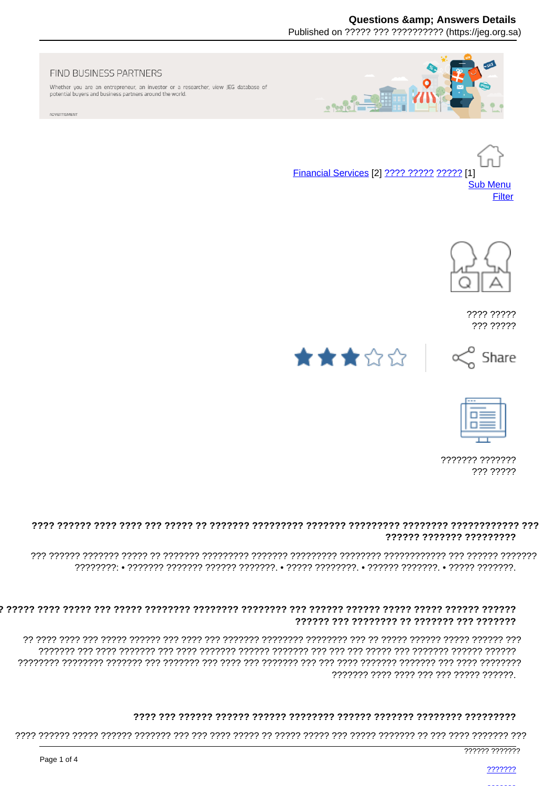# **Questions & Answers Details**

Published on ????? ??? ?????????? (https://ieg.org.sa)

#### FIND BUSINESS PARTNERS

Whether you are an entrepreneur, an investor or a researcher, view JEG database of potential buyers and business partners around the world.

ADVERTISMENT



Financial Services [2] ???? ????? ????? [1] **Sub Menu** Filter



???? ????? ??? ?????

Share





 $\propto$ 

??????? ??????? ??? ?????

### ?????? ??????? ?????????

## 

רררררררר רררר ררר הררכורר רררכור ררכו ררך ררך ררכור בררכור לרך ררכו ררך ררכורר ררך ררכוררך ררכוררך ררכורכן ה ??????? ???? ???? ??? ??? ????? ??????.

# 

777777 7777777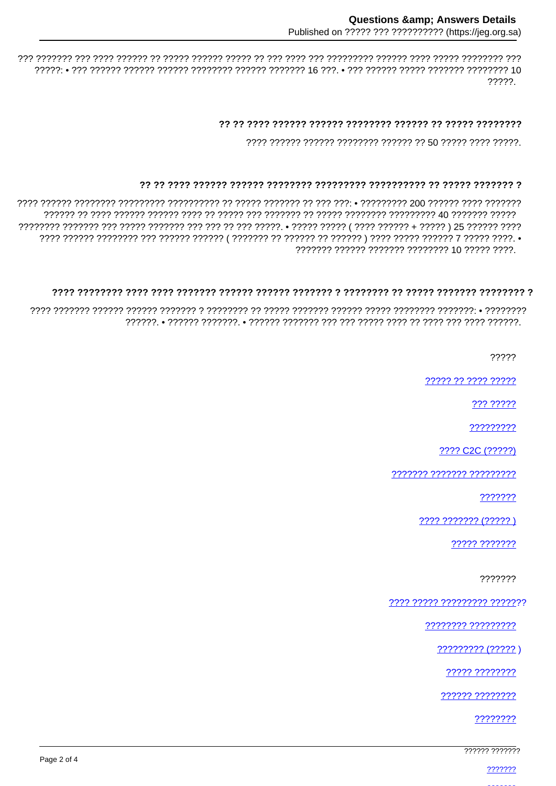777 1777777 1777 1777 177777 17777 17777 17777 1777 1777 1777 1777 1777 1777 1777 1777 1777 1777 1777 177 77777

#### 

2222 222222 222222 22222222 222222 2250 22222 2222 22222

#### <u>22 23 2322 232322 2323333 23233334 23233334 23233334 2324334 2324333 2324334 232434 232434 232434 2</u>

??????? ?????? ??????? ???????? 10 ????? ????.

#### 

?????

????? ?? ???? ?????

??? ?????

?????????

???? C2C (?????)

??????? ??????? ?????????

???????

???? ??????? (????? )

????? ???????

7777777

???? ????? ????????? ???????

???????? ?????????

????????? (????? )

????? ????????

?????? ????????

????????

777777 7777777

2222222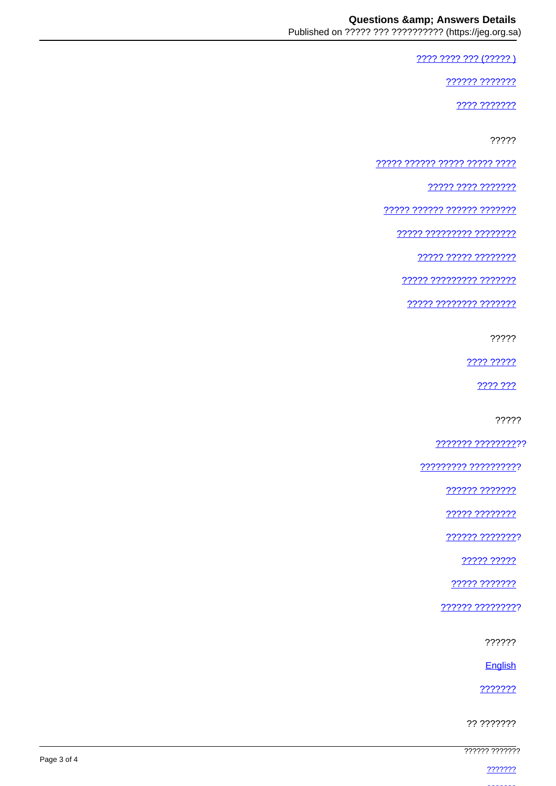???? ???? ??? (????? )

222222 2222222

???? ???????

?????

<u> ????? ?????? ????? ????? ????</u>

<u> ????? ???? ???????</u>

????? ?????? ?????? ???????

????? ????????? ????????

22222 22222 22222222

77777 777777777 7777777

<u> ????? ???????? ????????</u>

?????

???? ?????

2222 222

?????

<u>??????? ?????????</u>??

????????? ??????????

?????? ???????

????? ????????

?????? ????????

????? ?????

22222 2222222

?????? ?????????

??????

English

???????

?? ???????

777777 7777777

2222222